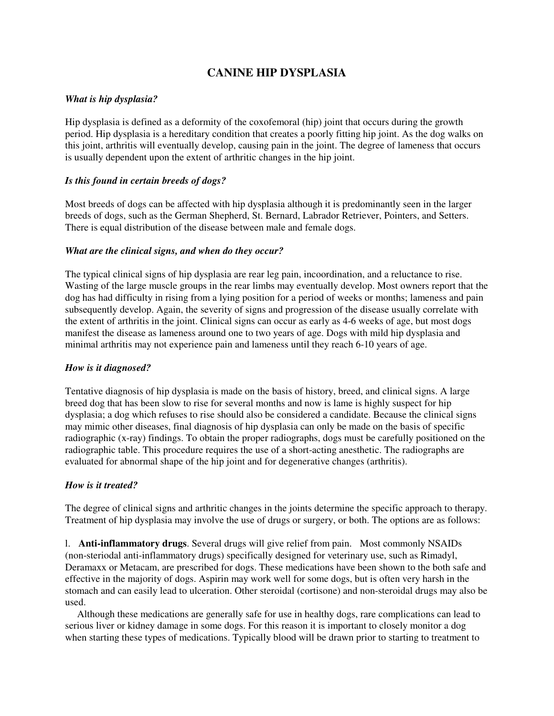# **CANINE HIP DYSPLASIA**

## *What is hip dysplasia?*

Hip dysplasia is defined as a deformity of the coxofemoral (hip) joint that occurs during the growth period. Hip dysplasia is a hereditary condition that creates a poorly fitting hip joint. As the dog walks on this joint, arthritis will eventually develop, causing pain in the joint. The degree of lameness that occurs is usually dependent upon the extent of arthritic changes in the hip joint.

## *Is this found in certain breeds of dogs?*

Most breeds of dogs can be affected with hip dysplasia although it is predominantly seen in the larger breeds of dogs, such as the German Shepherd, St. Bernard, Labrador Retriever, Pointers, and Setters. There is equal distribution of the disease between male and female dogs.

# *What are the clinical signs, and when do they occur?*

The typical clinical signs of hip dysplasia are rear leg pain, incoordination, and a reluctance to rise. Wasting of the large muscle groups in the rear limbs may eventually develop. Most owners report that the dog has had difficulty in rising from a lying position for a period of weeks or months; lameness and pain subsequently develop. Again, the severity of signs and progression of the disease usually correlate with the extent of arthritis in the joint. Clinical signs can occur as early as 4-6 weeks of age, but most dogs manifest the disease as lameness around one to two years of age. Dogs with mild hip dysplasia and minimal arthritis may not experience pain and lameness until they reach 6-10 years of age.

## *How is it diagnosed?*

Tentative diagnosis of hip dysplasia is made on the basis of history, breed, and clinical signs. A large breed dog that has been slow to rise for several months and now is lame is highly suspect for hip dysplasia; a dog which refuses to rise should also be considered a candidate. Because the clinical signs may mimic other diseases, final diagnosis of hip dysplasia can only be made on the basis of specific radiographic (x-ray) findings. To obtain the proper radiographs, dogs must be carefully positioned on the radiographic table. This procedure requires the use of a short-acting anesthetic. The radiographs are evaluated for abnormal shape of the hip joint and for degenerative changes (arthritis).

## *How is it treated?*

The degree of clinical signs and arthritic changes in the joints determine the specific approach to therapy. Treatment of hip dysplasia may involve the use of drugs or surgery, or both. The options are as follows:

l. **Anti-inflammatory drugs**. Several drugs will give relief from pain. Most commonly NSAIDs (non-steriodal anti-inflammatory drugs) specifically designed for veterinary use, such as Rimadyl, Deramaxx or Metacam, are prescribed for dogs. These medications have been shown to the both safe and effective in the majority of dogs. Aspirin may work well for some dogs, but is often very harsh in the stomach and can easily lead to ulceration. Other steroidal (cortisone) and non-steroidal drugs may also be used.

 Although these medications are generally safe for use in healthy dogs, rare complications can lead to serious liver or kidney damage in some dogs. For this reason it is important to closely monitor a dog when starting these types of medications. Typically blood will be drawn prior to starting to treatment to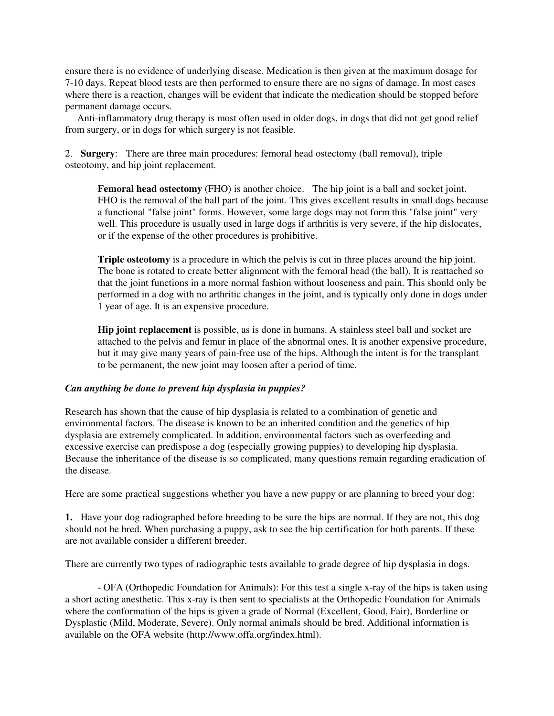ensure there is no evidence of underlying disease. Medication is then given at the maximum dosage for 7-10 days. Repeat blood tests are then performed to ensure there are no signs of damage. In most cases where there is a reaction, changes will be evident that indicate the medication should be stopped before permanent damage occurs.

 Anti-inflammatory drug therapy is most often used in older dogs, in dogs that did not get good relief from surgery, or in dogs for which surgery is not feasible.

2. **Surgery**: There are three main procedures: femoral head ostectomy (ball removal), triple osteotomy, and hip joint replacement.

**Femoral head ostectomy** (FHO) is another choice. The hip joint is a ball and socket joint. FHO is the removal of the ball part of the joint. This gives excellent results in small dogs because a functional "false joint" forms. However, some large dogs may not form this "false joint" very well. This procedure is usually used in large dogs if arthritis is very severe, if the hip dislocates, or if the expense of the other procedures is prohibitive.

**Triple osteotomy** is a procedure in which the pelvis is cut in three places around the hip joint. The bone is rotated to create better alignment with the femoral head (the ball). It is reattached so that the joint functions in a more normal fashion without looseness and pain. This should only be performed in a dog with no arthritic changes in the joint, and is typically only done in dogs under 1 year of age. It is an expensive procedure.

**Hip joint replacement** is possible, as is done in humans. A stainless steel ball and socket are attached to the pelvis and femur in place of the abnormal ones. It is another expensive procedure, but it may give many years of pain-free use of the hips. Although the intent is for the transplant to be permanent, the new joint may loosen after a period of time.

## *Can anything be done to prevent hip dysplasia in puppies?*

Research has shown that the cause of hip dysplasia is related to a combination of genetic and environmental factors. The disease is known to be an inherited condition and the genetics of hip dysplasia are extremely complicated. In addition, environmental factors such as overfeeding and excessive exercise can predispose a dog (especially growing puppies) to developing hip dysplasia. Because the inheritance of the disease is so complicated, many questions remain regarding eradication of the disease.

Here are some practical suggestions whether you have a new puppy or are planning to breed your dog:

**1.** Have your dog radiographed before breeding to be sure the hips are normal. If they are not, this dog should not be bred. When purchasing a puppy, ask to see the hip certification for both parents. If these are not available consider a different breeder.

There are currently two types of radiographic tests available to grade degree of hip dysplasia in dogs.

- OFA (Orthopedic Foundation for Animals): For this test a single x-ray of the hips is taken using a short acting anesthetic. This x-ray is then sent to specialists at the Orthopedic Foundation for Animals where the conformation of the hips is given a grade of Normal (Excellent, Good, Fair), Borderline or Dysplastic (Mild, Moderate, Severe). Only normal animals should be bred. Additional information is available on the OFA website (http://www.offa.org/index.html).